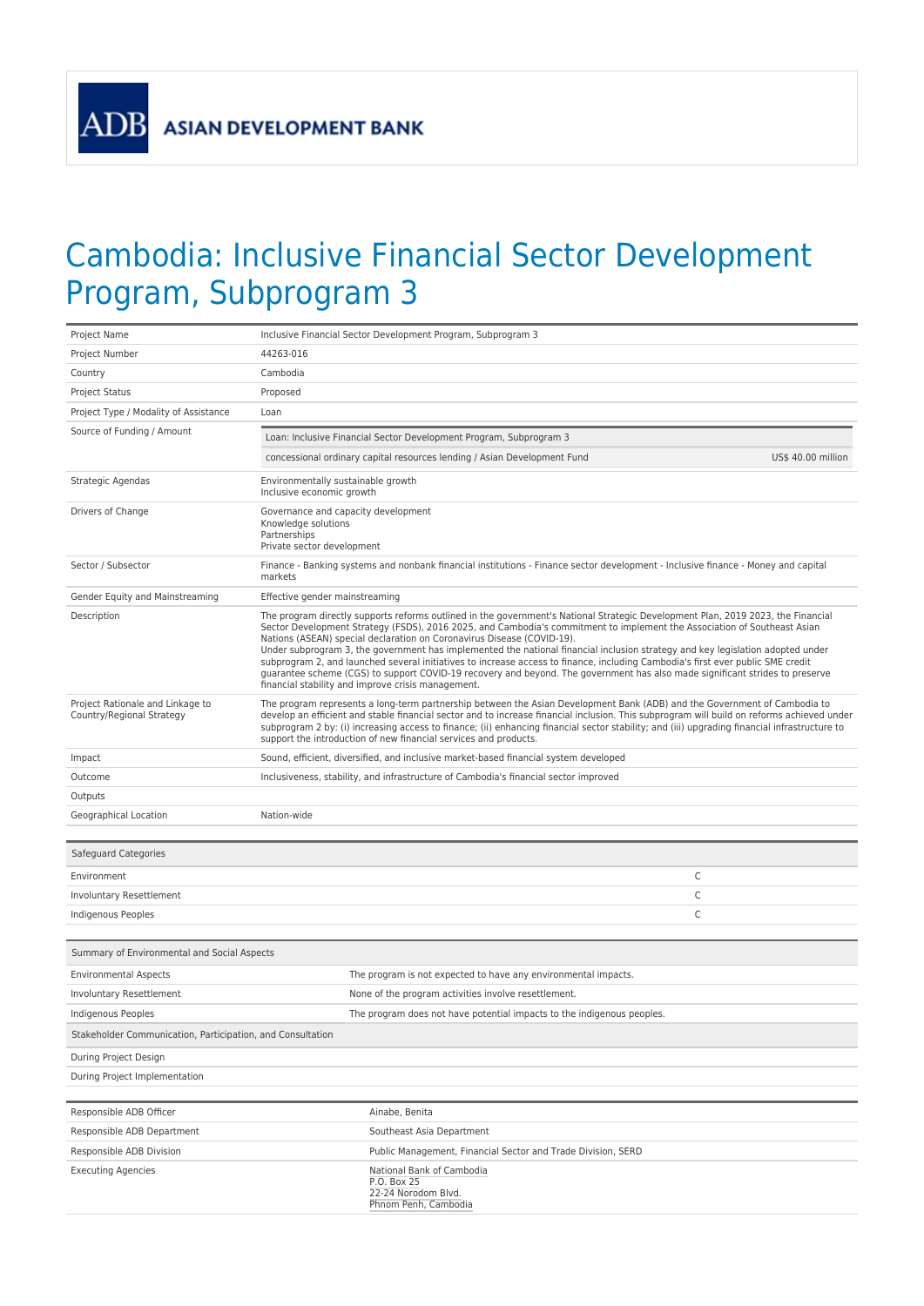**ADB** 

## Cambodia: Inclusive Financial Sector Development Program, Subprogram 3

| Project Name                                                  | Inclusive Financial Sector Development Program, Subprogram 3                                                                                                                                                                                                                                                                                                                                                                                                                                                                                                                                                                                                                                                                                                                                      |                    |
|---------------------------------------------------------------|---------------------------------------------------------------------------------------------------------------------------------------------------------------------------------------------------------------------------------------------------------------------------------------------------------------------------------------------------------------------------------------------------------------------------------------------------------------------------------------------------------------------------------------------------------------------------------------------------------------------------------------------------------------------------------------------------------------------------------------------------------------------------------------------------|--------------------|
| Project Number                                                | 44263-016                                                                                                                                                                                                                                                                                                                                                                                                                                                                                                                                                                                                                                                                                                                                                                                         |                    |
| Country                                                       | Cambodia                                                                                                                                                                                                                                                                                                                                                                                                                                                                                                                                                                                                                                                                                                                                                                                          |                    |
| <b>Project Status</b>                                         | Proposed                                                                                                                                                                                                                                                                                                                                                                                                                                                                                                                                                                                                                                                                                                                                                                                          |                    |
| Project Type / Modality of Assistance                         | Loan                                                                                                                                                                                                                                                                                                                                                                                                                                                                                                                                                                                                                                                                                                                                                                                              |                    |
| Source of Funding / Amount                                    | Loan: Inclusive Financial Sector Development Program, Subprogram 3                                                                                                                                                                                                                                                                                                                                                                                                                                                                                                                                                                                                                                                                                                                                |                    |
|                                                               | concessional ordinary capital resources lending / Asian Development Fund                                                                                                                                                                                                                                                                                                                                                                                                                                                                                                                                                                                                                                                                                                                          | US\$ 40.00 million |
| Strategic Agendas                                             | Environmentally sustainable growth<br>Inclusive economic growth                                                                                                                                                                                                                                                                                                                                                                                                                                                                                                                                                                                                                                                                                                                                   |                    |
| Drivers of Change                                             | Governance and capacity development<br>Knowledge solutions<br>Partnerships<br>Private sector development                                                                                                                                                                                                                                                                                                                                                                                                                                                                                                                                                                                                                                                                                          |                    |
| Sector / Subsector                                            | Finance - Banking systems and nonbank financial institutions - Finance sector development - Inclusive finance - Money and capital<br>markets                                                                                                                                                                                                                                                                                                                                                                                                                                                                                                                                                                                                                                                      |                    |
| Gender Equity and Mainstreaming                               | Effective gender mainstreaming                                                                                                                                                                                                                                                                                                                                                                                                                                                                                                                                                                                                                                                                                                                                                                    |                    |
| Description                                                   | The program directly supports reforms outlined in the government's National Strategic Development Plan, 2019 2023, the Financial<br>Sector Development Strategy (FSDS), 2016 2025, and Cambodia's commitment to implement the Association of Southeast Asian<br>Nations (ASEAN) special declaration on Coronavirus Disease (COVID-19).<br>Under subprogram 3, the government has implemented the national financial inclusion strategy and key legislation adopted under<br>subprogram 2, and launched several initiatives to increase access to finance, including Cambodia's first ever public SME credit<br>quarantee scheme (CGS) to support COVID-19 recovery and beyond. The government has also made significant strides to preserve<br>financial stability and improve crisis management. |                    |
| Project Rationale and Linkage to<br>Country/Regional Strategy | The program represents a long-term partnership between the Asian Development Bank (ADB) and the Government of Cambodia to<br>develop an efficient and stable financial sector and to increase financial inclusion. This subprogram will build on reforms achieved under<br>subprogram 2 by: (i) increasing access to finance; (ii) enhancing financial sector stability; and (iii) upgrading financial infrastructure to<br>support the introduction of new financial services and products.                                                                                                                                                                                                                                                                                                      |                    |
| Impact                                                        | Sound, efficient, diversified, and inclusive market-based financial system developed                                                                                                                                                                                                                                                                                                                                                                                                                                                                                                                                                                                                                                                                                                              |                    |
| Outcome                                                       | Inclusiveness, stability, and infrastructure of Cambodia's financial sector improved                                                                                                                                                                                                                                                                                                                                                                                                                                                                                                                                                                                                                                                                                                              |                    |
| Outputs                                                       |                                                                                                                                                                                                                                                                                                                                                                                                                                                                                                                                                                                                                                                                                                                                                                                                   |                    |
| Geographical Location                                         | Nation-wide                                                                                                                                                                                                                                                                                                                                                                                                                                                                                                                                                                                                                                                                                                                                                                                       |                    |
| Safeguard Categories                                          |                                                                                                                                                                                                                                                                                                                                                                                                                                                                                                                                                                                                                                                                                                                                                                                                   |                    |
| Environment                                                   | C                                                                                                                                                                                                                                                                                                                                                                                                                                                                                                                                                                                                                                                                                                                                                                                                 |                    |
| Involuntary Resettlement                                      | C                                                                                                                                                                                                                                                                                                                                                                                                                                                                                                                                                                                                                                                                                                                                                                                                 |                    |
| Indigenous Peoples                                            | C                                                                                                                                                                                                                                                                                                                                                                                                                                                                                                                                                                                                                                                                                                                                                                                                 |                    |
|                                                               |                                                                                                                                                                                                                                                                                                                                                                                                                                                                                                                                                                                                                                                                                                                                                                                                   |                    |
| Summary of Environmental and Social Aspects                   |                                                                                                                                                                                                                                                                                                                                                                                                                                                                                                                                                                                                                                                                                                                                                                                                   |                    |
| <b>Environmental Aspects</b>                                  | The program is not expected to have any environmental impacts.                                                                                                                                                                                                                                                                                                                                                                                                                                                                                                                                                                                                                                                                                                                                    |                    |
| Involuntary Resettlement                                      | None of the program activities involve resettlement.                                                                                                                                                                                                                                                                                                                                                                                                                                                                                                                                                                                                                                                                                                                                              |                    |
| <b>Indigenous Peoples</b>                                     | The program does not have potential impacts to the indigenous peoples.                                                                                                                                                                                                                                                                                                                                                                                                                                                                                                                                                                                                                                                                                                                            |                    |
| Stakeholder Communication, Participation, and Consultation    |                                                                                                                                                                                                                                                                                                                                                                                                                                                                                                                                                                                                                                                                                                                                                                                                   |                    |
| During Project Design                                         |                                                                                                                                                                                                                                                                                                                                                                                                                                                                                                                                                                                                                                                                                                                                                                                                   |                    |
| During Project Implementation                                 |                                                                                                                                                                                                                                                                                                                                                                                                                                                                                                                                                                                                                                                                                                                                                                                                   |                    |
| Responsible ADB Officer                                       | Ainabe, Benita                                                                                                                                                                                                                                                                                                                                                                                                                                                                                                                                                                                                                                                                                                                                                                                    |                    |
| Responsible ADB Department                                    | Southeast Asia Department                                                                                                                                                                                                                                                                                                                                                                                                                                                                                                                                                                                                                                                                                                                                                                         |                    |
| Responsible ADB Division                                      | Public Management, Financial Sector and Trade Division, SERD                                                                                                                                                                                                                                                                                                                                                                                                                                                                                                                                                                                                                                                                                                                                      |                    |
| <b>Executing Agencies</b>                                     | National Bank of Cambodia<br>P.O. Box 25<br>22-24 Norodom Blvd.<br>Phnom Penh, Cambodia                                                                                                                                                                                                                                                                                                                                                                                                                                                                                                                                                                                                                                                                                                           |                    |